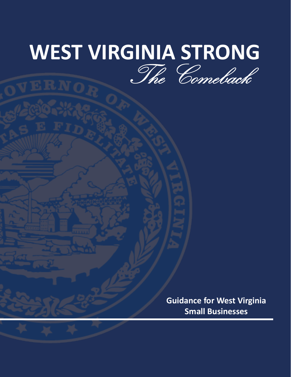## **WEST VIRGINIA STRONG** The Comeback

**Guidance for West Virginia Small Businesses**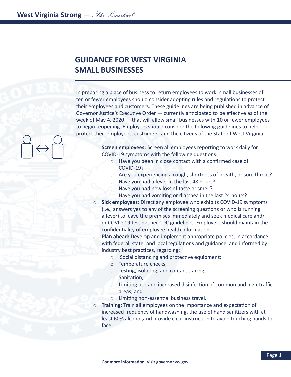## **GUIDANCE FOR WEST VIRGINIA SMALL BUSINESSES**

In preparing a place of business to return employees to work, small businesses of ten or fewer employees should consider adopting rules and regulations to protect their employees and customers. These guidelines are being published in advance of Governor Justice's Executive Order — currently anticipated to be effective as of the week of May 4, 2020 — that will allow small businesses with 10 or fewer employees to begin reopening. Employers should consider the following guidelines to help protect their employees, customers, and the citizens of the State of West Virginia:

- o **Screen employees:** Screen all employees reporting to work daily for COVID-19 symptoms with the following questions:
	- o Have you been in close contact with a confirmed case of COVID-19?
	- o Are you experiencing a cough, shortness of breath, or sore throat?
	- o Have you had a fever in the last 48 hours?
	- o Have you had new loss of taste or smell?
	- o Have you had vomiting or diarrhea in the last 24 hours?
- o **Sick employees:** Direct any employee who exhibits COVID-19 symptoms (i.e., answers yes to any of the screening questions or who is running a fever) to leave the premises immediately and seek medical care and/ or COVID-19 testing, per CDC guidelines. Employers should maintain the confidentiality of employee health information.
- o **Plan ahead:** Develop and implement appropriate policies, in accordance with federal, state, and local regulations and guidance, and informed by industry best practices, regarding:
	- o Social distancing and protective equipment;
	- o Temperature checks;
	- o Testing, isolating, and contact tracing;
	- o Sanitation;
	- o Limiting use and increased disinfection of common and high-traffic areas; and
	- o Limiting non-essential business travel.
- **Training:** Train all employees on the importance and expectation of increased frequency of handwashing, the use of hand sanitizers with at least 60% alcohol,and provide clear instruction to avoid touching hands to face.